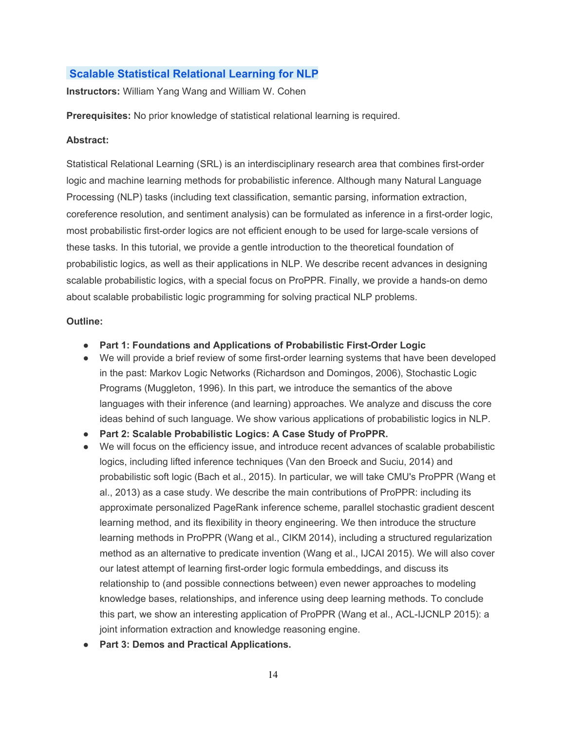# **Scalable Statistical Relational Learning for NLP**

**Instructors:**William Yang Wang and William W. Cohen

**Prerequisites:** No prior knowledge of statistical relational learning is required.

### **Abstract:**

Statistical Relational Learning (SRL) is an interdisciplinary research area that combines first-order logic and machine learning methods for probabilistic inference. Although many Natural Language Processing (NLP) tasks (including text classification, semantic parsing, information extraction, coreference resolution, and sentiment analysis) can be formulated as inference in a first-order logic, most probabilistic first-order logics are not efficient enough to be used for large-scale versions of these tasks. In this tutorial, we provide a gentle introduction to the theoretical foundation of probabilistic logics, as well as their applications in NLP. We describe recent advances in designing scalable probabilistic logics, with a special focus on ProPPR. Finally, we provide a hands-on demo about scalable probabilistic logic programming for solving practical NLP problems.

#### **Outline:**

- **Part 1: Foundations and Applications of Probabilistic First-Order Logic**
- We will provide a brief review of some first-order learning systems that have been developed in the past: Markov Logic Networks (Richardson and Domingos, 2006), Stochastic Logic Programs (Muggleton, 1996). In this part, we introduce the semantics of the above languages with their inference (and learning) approaches. We analyze and discuss the core ideas behind of such language. We show various applications of probabilistic logics in NLP.
- **Part 2: Scalable Probabilistic Logics: A Case Study of ProPPR.**
- We will focus on the efficiency issue, and introduce recent advances of scalable probabilistic logics, including lifted inference techniques (Van den Broeck and Suciu, 2014) and probabilistic soft logic (Bach et al., 2015). In particular, we will take CMU's ProPPR (Wang et al., 2013) as a case study. We describe the main contributions of ProPPR: including its approximate personalized PageRank inference scheme, parallel stochastic gradient descent learning method, and its flexibility in theory engineering. We then introduce the structure learning methods in ProPPR (Wang et al., CIKM 2014), including a structured regularization method as an alternative to predicate invention (Wang et al., IJCAI 2015). We will also cover our latest attempt of learning first-order logic formula embeddings, and discuss its relationship to (and possible connections between) even newer approaches to modeling knowledge bases, relationships, and inference using deep learning methods. To conclude this part, we show an interesting application of ProPPR (Wang et al., ACL-IJCNLP 2015): a joint information extraction and knowledge reasoning engine.
- **Part 3: Demos and Practical Applications.**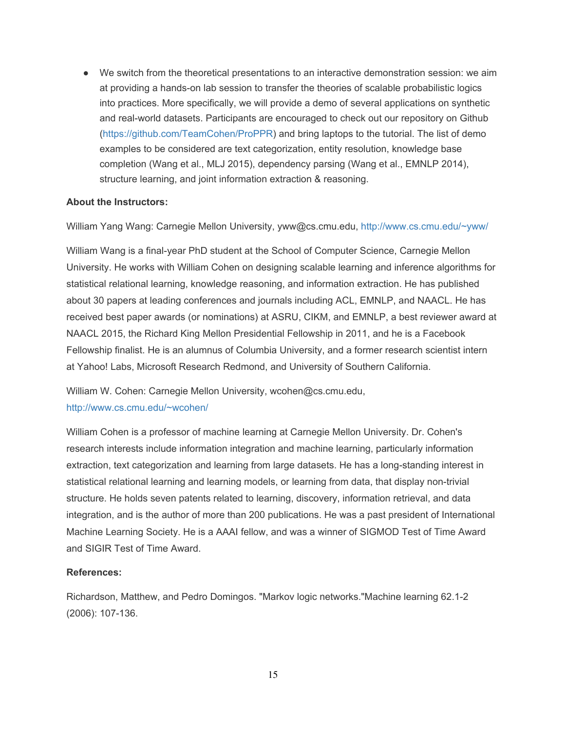● We switch from the theoretical presentations to an interactive demonstration session: we aim at providing a hands-on lab session to transfer the theories of scalable probabilistic logics into practices. More specifically, we will provide a demo of several applications on synthetic and real-world datasets. Participants are encouraged to check out our repository on Github (https://github.com/TeamCohen/ProPPR) and bring laptops to the tutorial. The list of demo examples to be considered are text categorization, entity resolution, knowledge base completion (Wang et al., MLJ 2015), dependency parsing (Wang et al., EMNLP 2014), structure learning, and joint information extraction & reasoning.

### **About the Instructors:**

William Yang Wang: Carnegie Mellon University, yww@cs.cmu.edu, http://www.cs.cmu.edu/~yww/

William Wang is a final-year PhD student at the School of Computer Science, Carnegie Mellon University. He works with William Cohen on designing scalable learning and inference algorithms for statistical relational learning, knowledge reasoning, and information extraction. He has published about 30 papers at leading conferences and journals including ACL, EMNLP, and NAACL. He has received best paper awards (or nominations) at ASRU, CIKM, and EMNLP, a best reviewer award at NAACL 2015, the Richard King Mellon Presidential Fellowship in 2011, and he is a Facebook Fellowship finalist. He is an alumnus of Columbia University, and a former research scientist intern at Yahoo! Labs, Microsoft Research Redmond, and University of Southern California.

William W. Cohen: Carnegie Mellon University, wcohen@cs.cmu.edu, http://www.cs.cmu.edu/~wcohen/

William Cohen is a professor of machine learning at Carnegie Mellon University. Dr. Cohen's research interests include information integration and machine learning, particularly information extraction, text categorization and learning from large datasets. He has a long-standing interest in statistical relational learning and learning models, or learning from data, that display non-trivial structure. He holds seven patents related to learning, discovery, information retrieval, and data integration, and is the author of more than 200 publications. He was a past president of International Machine Learning Society. He is a AAAI fellow, and was a winner of SIGMOD Test of Time Award and SIGIR Test of Time Award.

## **References:**

Richardson, Matthew, and Pedro Domingos. "Markov logic networks."Machine learning 62.12 (2006): 107-136.